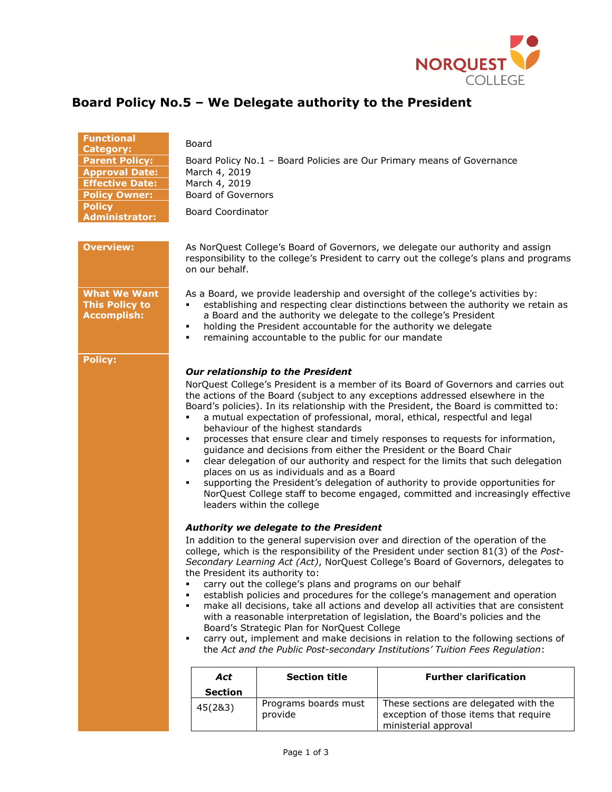

| <b>Functional</b>                                                  | Board                                                                                                                                                                                                                                                                                                                                                                                                                                                                                                                                                                                                                                                                                                                                                                                                                                                                                               |  |  |
|--------------------------------------------------------------------|-----------------------------------------------------------------------------------------------------------------------------------------------------------------------------------------------------------------------------------------------------------------------------------------------------------------------------------------------------------------------------------------------------------------------------------------------------------------------------------------------------------------------------------------------------------------------------------------------------------------------------------------------------------------------------------------------------------------------------------------------------------------------------------------------------------------------------------------------------------------------------------------------------|--|--|
| <b>Category:</b><br><b>Parent Policy:</b>                          | Board Policy No.1 - Board Policies are Our Primary means of Governance                                                                                                                                                                                                                                                                                                                                                                                                                                                                                                                                                                                                                                                                                                                                                                                                                              |  |  |
| <b>Approval Date:</b>                                              | March 4, 2019                                                                                                                                                                                                                                                                                                                                                                                                                                                                                                                                                                                                                                                                                                                                                                                                                                                                                       |  |  |
| <b>Effective Date:</b>                                             | March 4, 2019                                                                                                                                                                                                                                                                                                                                                                                                                                                                                                                                                                                                                                                                                                                                                                                                                                                                                       |  |  |
| <b>Policy Owner:</b>                                               | <b>Board of Governors</b>                                                                                                                                                                                                                                                                                                                                                                                                                                                                                                                                                                                                                                                                                                                                                                                                                                                                           |  |  |
| <b>Policy</b>                                                      |                                                                                                                                                                                                                                                                                                                                                                                                                                                                                                                                                                                                                                                                                                                                                                                                                                                                                                     |  |  |
| <b>Administrator:</b>                                              | <b>Board Coordinator</b>                                                                                                                                                                                                                                                                                                                                                                                                                                                                                                                                                                                                                                                                                                                                                                                                                                                                            |  |  |
|                                                                    |                                                                                                                                                                                                                                                                                                                                                                                                                                                                                                                                                                                                                                                                                                                                                                                                                                                                                                     |  |  |
| <b>Overview:</b>                                                   | As NorQuest College's Board of Governors, we delegate our authority and assign<br>responsibility to the college's President to carry out the college's plans and programs<br>on our behalf.                                                                                                                                                                                                                                                                                                                                                                                                                                                                                                                                                                                                                                                                                                         |  |  |
| <b>What We Want</b><br><b>This Policy to</b><br><b>Accomplish:</b> | As a Board, we provide leadership and oversight of the college's activities by:<br>establishing and respecting clear distinctions between the authority we retain as<br>a Board and the authority we delegate to the college's President<br>holding the President accountable for the authority we delegate<br>٠<br>remaining accountable to the public for our mandate<br>٠                                                                                                                                                                                                                                                                                                                                                                                                                                                                                                                        |  |  |
| <b>Policy:</b>                                                     |                                                                                                                                                                                                                                                                                                                                                                                                                                                                                                                                                                                                                                                                                                                                                                                                                                                                                                     |  |  |
|                                                                    | Our relationship to the President                                                                                                                                                                                                                                                                                                                                                                                                                                                                                                                                                                                                                                                                                                                                                                                                                                                                   |  |  |
|                                                                    | NorQuest College's President is a member of its Board of Governors and carries out<br>the actions of the Board (subject to any exceptions addressed elsewhere in the<br>Board's policies). In its relationship with the President, the Board is committed to:<br>a mutual expectation of professional, moral, ethical, respectful and legal<br>behaviour of the highest standards<br>processes that ensure clear and timely responses to requests for information,<br>٠<br>guidance and decisions from either the President or the Board Chair<br>clear delegation of our authority and respect for the limits that such delegation<br>٠<br>places on us as individuals and as a Board<br>supporting the President's delegation of authority to provide opportunities for<br>٠<br>NorQuest College staff to become engaged, committed and increasingly effective<br>leaders within the college      |  |  |
|                                                                    | Authority we delegate to the President<br>In addition to the general supervision over and direction of the operation of the<br>college, which is the responsibility of the President under section 81(3) of the Post-<br>Secondary Learning Act (Act), NorQuest College's Board of Governors, delegates to<br>the President its authority to:<br>carry out the college's plans and programs on our behalf<br>establish policies and procedures for the college's management and operation<br>٠<br>make all decisions, take all actions and develop all activities that are consistent<br>٠<br>with a reasonable interpretation of legislation, the Board's policies and the<br>Board's Strategic Plan for NorQuest College<br>carry out, implement and make decisions in relation to the following sections of<br>٠<br>the Act and the Public Post-secondary Institutions' Tuition Fees Regulation: |  |  |
|                                                                    | <b>Section title</b><br><b>Further clarification</b><br>Act                                                                                                                                                                                                                                                                                                                                                                                                                                                                                                                                                                                                                                                                                                                                                                                                                                         |  |  |
|                                                                    | <b>Section</b>                                                                                                                                                                                                                                                                                                                                                                                                                                                                                                                                                                                                                                                                                                                                                                                                                                                                                      |  |  |
|                                                                    | Programs boards must<br>These sections are delegated with the<br>45(2&3)<br>provide<br>exception of those items that require<br>ministerial approval                                                                                                                                                                                                                                                                                                                                                                                                                                                                                                                                                                                                                                                                                                                                                |  |  |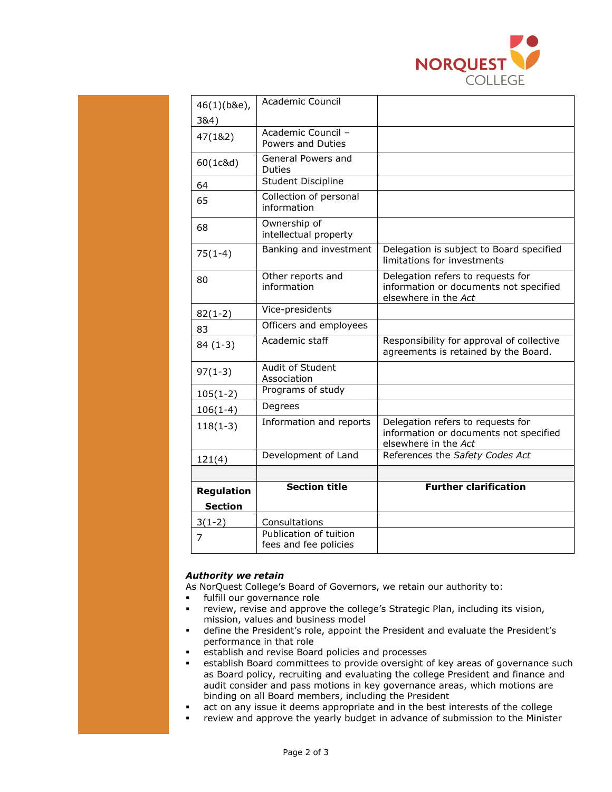

| 46(1)(b&e),                         | Academic Council                                |                                                                                                     |
|-------------------------------------|-------------------------------------------------|-----------------------------------------------------------------------------------------------------|
| 384)                                |                                                 |                                                                                                     |
| 47(1&2)                             | Academic Council -<br>Powers and Duties         |                                                                                                     |
| 60(1c&d)                            | General Powers and<br><b>Duties</b>             |                                                                                                     |
| 64                                  | <b>Student Discipline</b>                       |                                                                                                     |
| 65                                  | Collection of personal<br>information           |                                                                                                     |
| 68                                  | Ownership of<br>intellectual property           |                                                                                                     |
| $75(1-4)$                           | Banking and investment                          | Delegation is subject to Board specified<br>limitations for investments                             |
| 80                                  | Other reports and<br>information                | Delegation refers to requests for<br>information or documents not specified<br>elsewhere in the Act |
| $82(1-2)$                           | Vice-presidents                                 |                                                                                                     |
| 83                                  | Officers and employees                          |                                                                                                     |
| $84(1-3)$                           | Academic staff                                  | Responsibility for approval of collective<br>agreements is retained by the Board.                   |
| $97(1-3)$                           | Audit of Student<br>Association                 |                                                                                                     |
| $105(1-2)$                          | Programs of study                               |                                                                                                     |
| $106(1-4)$                          | Degrees                                         |                                                                                                     |
| $118(1-3)$                          | Information and reports                         | Delegation refers to requests for<br>information or documents not specified<br>elsewhere in the Act |
| 121(4)                              | Development of Land                             | References the Safety Codes Act                                                                     |
|                                     |                                                 |                                                                                                     |
| <b>Regulation</b><br><b>Section</b> | <b>Section title</b>                            | <b>Further clarification</b>                                                                        |
| $3(1-2)$                            | Consultations                                   |                                                                                                     |
| 7                                   | Publication of tuition<br>fees and fee policies |                                                                                                     |

## *Authority we retain*

As NorQuest College's Board of Governors, we retain our authority to:

- fulfill our governance role
- review, revise and approve the college's Strategic Plan, including its vision, mission, values and business model
- define the President's role, appoint the President and evaluate the President's performance in that role
- establish and revise Board policies and processes
- establish Board committees to provide oversight of key areas of governance such as Board policy, recruiting and evaluating the college President and finance and audit consider and pass motions in key governance areas, which motions are binding on all Board members, including the President
- act on any issue it deems appropriate and in the best interests of the college
- review and approve the yearly budget in advance of submission to the Minister